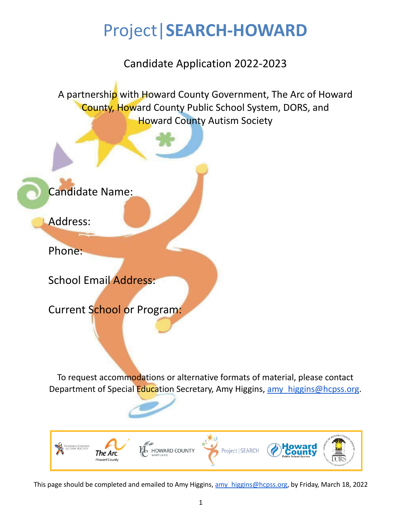# Project|**SEARCH-HOWARD**

Candidate Application 2022-2023

A partnership with Howard County Government, The Arc of Howard County, Howard County Public School System, DORS, and Howard County Autism Society

Candidate Name:

Address:

Phone:

School Email Address:

Current School or Program:

To request accommodations or alternative formats of material, please contact Department of Special Education Secretary, Amy Higgins, amy higgins@hcpss.org.

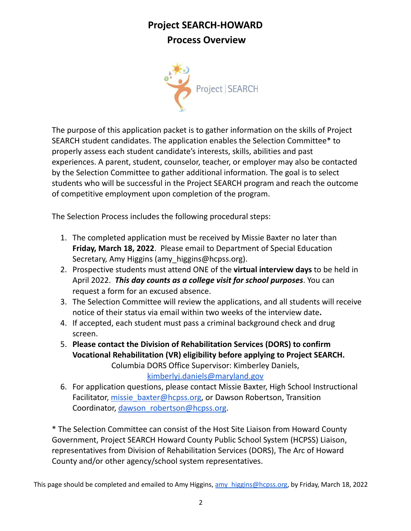# **Project SEARCH-HOWARD Process Overview**



The purpose of this application packet is to gather information on the skills of Project SEARCH student candidates. The application enables the Selection Committee\* to properly assess each student candidate's interests, skills, abilities and past experiences. A parent, student, counselor, teacher, or employer may also be contacted by the Selection Committee to gather additional information. The goal is to select students who will be successful in the Project SEARCH program and reach the outcome of competitive employment upon completion of the program.

The Selection Process includes the following procedural steps:

- 1. The completed application must be received by Missie Baxter no later than **Friday, March 18, 2022**. Please email to Department of Special Education Secretary, Amy Higgins (amy higgins@hcpss.org).
- 2. Prospective students must attend ONE of the **virtual interview days** to be held in April 2022. *This day counts as a college visit for school purposes*. You can request a form for an excused absence.
- 3. The Selection Committee will review the applications, and all students will receive notice of their status via email within two weeks of the interview date**.**
- 4. If accepted, each student must pass a criminal background check and drug screen.
- 5. **Please contact the Division of Rehabilitation Services (DORS) to confirm Vocational Rehabilitation (VR) eligibility before applying to Project SEARCH.** Columbia DORS Office Supervisor: Kimberley Daniels,
- [kimberlyj.daniels@maryland.gov](mailto:kimberlyj.daniels@maryland.gov) 6. For application questions, please contact Missie Baxter, High School Instructional
- Facilitator, [missie\\_baxter@hcpss.org](mailto:missie_baxter@hcpss.org), or Dawson Robertson, Transition Coordinator, dawson robertson@hcpss.org.

\* The Selection Committee can consist of the Host Site Liaison from Howard County Government, Project SEARCH Howard County Public School System (HCPSS) Liaison, representatives from Division of Rehabilitation Services (DORS), The Arc of Howard County and/or other agency/school system representatives.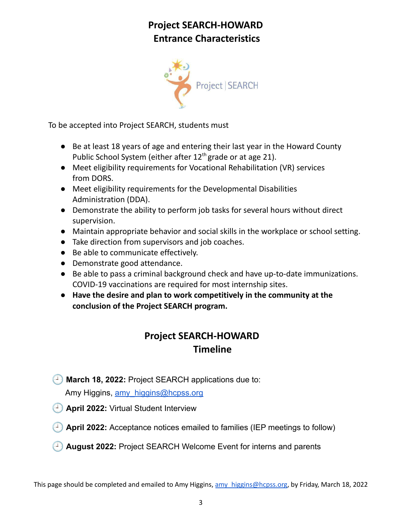# **Project SEARCH-HOWARD Entrance Characteristics**



To be accepted into Project SEARCH, students must

- Be at least 18 years of age and entering their last year in the Howard County Public School System (either after 12<sup>th</sup> grade or at age 21).
- Meet eligibility requirements for Vocational Rehabilitation (VR) services from DORS.
- Meet eligibility requirements for the Developmental Disabilities Administration (DDA).
- Demonstrate the ability to perform job tasks for several hours without direct supervision.
- Maintain appropriate behavior and social skills in the workplace or school setting.
- Take direction from supervisors and job coaches.
- Be able to communicate effectively.
- Demonstrate good attendance.
- Be able to pass a criminal background check and have up-to-date immunizations. COVID-19 vaccinations are required for most internship sites.
- **Have the desire and plan to work competitively in the community at the conclusion of the Project SEARCH program.**

# **Project SEARCH-HOWARD Timeline**

**March 18, 2022:** Project SEARCH applications due to:

Amy Higgins, amy higgins@hcpss.org

- **April 2022:** Virtual Student Interview
- **April 2022:** Acceptance notices emailed to families (IEP meetings to follow)
- **August 2022:** Project SEARCH Welcome Event for interns and parents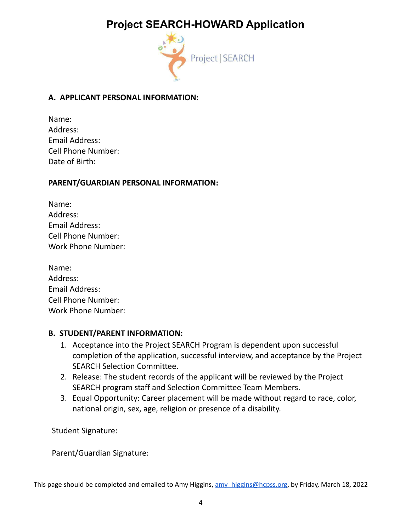# **Project SEARCH-HOWARD Application**



### **A. APPLICANT PERSONAL INFORMATION:**

| Name:                     |
|---------------------------|
| Address:                  |
| <b>Email Address:</b>     |
| <b>Cell Phone Number:</b> |
| Date of Birth:            |

#### **PARENT/GUARDIAN PERSONAL INFORMATION:**

| Name:                     |
|---------------------------|
| Address:                  |
| Email Address:            |
| <b>Cell Phone Number:</b> |
| Work Phone Number:        |

#### **B. STUDENT/PARENT INFORMATION:**

- 1. Acceptance into the Project SEARCH Program is dependent upon successful completion of the application, successful interview, and acceptance by the Project SEARCH Selection Committee.
- 2. Release: The student records of the applicant will be reviewed by the Project SEARCH program staff and Selection Committee Team Members.
- 3. Equal Opportunity: Career placement will be made without regard to race, color, national origin, sex, age, religion or presence of a disability.

Student Signature:

Parent/Guardian Signature: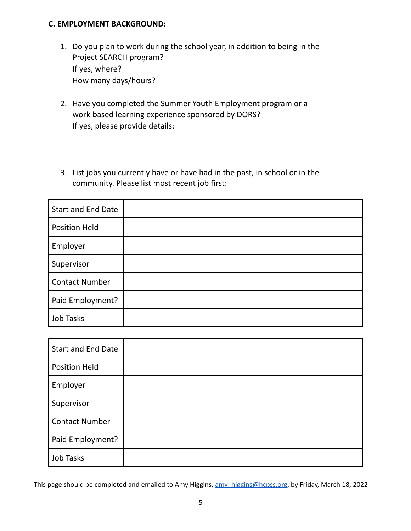#### **C. EMPLOYMENT BACKGROUND:**

- 1. Do you plan to work during the school year, in addition to being in the Project SEARCH program? If yes, where? How many days/hours?
- 2. Have you completed the Summer Youth Employment program or a work-based learning experience sponsored by DORS? If yes, please provide details:
- 3. List jobs you currently have or have had in the past, in school or in the community. Please list most recent job first:

| <b>Start and End Date</b> |  |
|---------------------------|--|
| <b>Position Held</b>      |  |
| Employer                  |  |
| Supervisor                |  |
| <b>Contact Number</b>     |  |
| Paid Employment?          |  |
| Job Tasks                 |  |

| <b>Start and End Date</b> |  |
|---------------------------|--|
| <b>Position Held</b>      |  |
| Employer                  |  |
| Supervisor                |  |
| <b>Contact Number</b>     |  |
| Paid Employment?          |  |
| Job Tasks                 |  |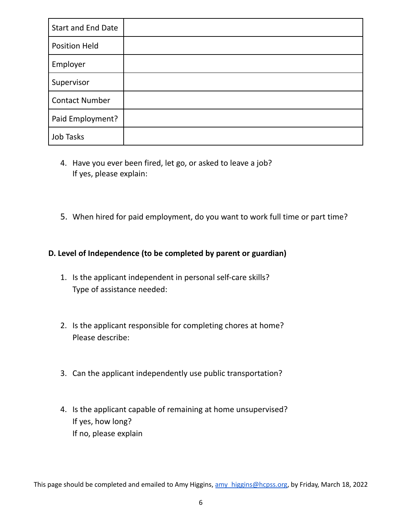| Start and End Date    |  |
|-----------------------|--|
| <b>Position Held</b>  |  |
| Employer              |  |
| Supervisor            |  |
| <b>Contact Number</b> |  |
| Paid Employment?      |  |
| Job Tasks             |  |

- 4. Have you ever been fired, let go, or asked to leave a job? If yes, please explain:
- 5. When hired for paid employment, do you want to work full time or part time?

### **D. Level of Independence (to be completed by parent or guardian)**

- 1. Is the applicant independent in personal self-care skills? Type of assistance needed:
- 2. Is the applicant responsible for completing chores at home? Please describe:
- 3. Can the applicant independently use public transportation?
- 4. Is the applicant capable of remaining at home unsupervised? If yes, how long? If no, please explain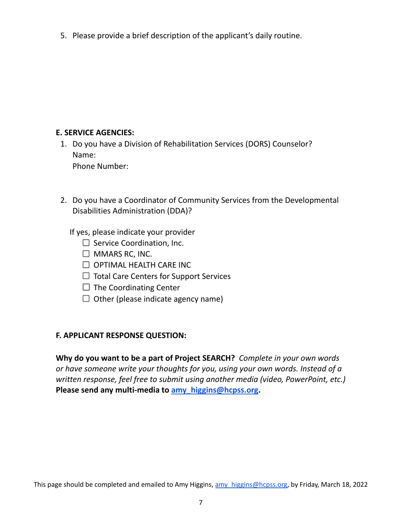5. Please provide a brief description of the applicant's daily routine.

### **E. SERVICE AGENCIES:**

- 1. Do you have a Division of Rehabilitation Services (DORS) Counselor? Name: Phone Number:
- 2. Do you have a Coordinator of Community Services from the Developmental Disabilities Administration (DDA)?

If yes, please indicate your provider

- $\square$  Service Coordination, Inc.
- $\Box$  MMARS RC, INC.
- $\Box$  OPTIMAL HEALTH CARE INC
- $\Box$  Total Care Centers for Support Services
- $\Box$  The Coordinating Center
- $\Box$  Other (please indicate agency name)

### **F. APPLICANT RESPONSE QUESTION:**

**Why do you want to be a part of Project SEARCH?** *Complete in your own words or have someone write your thoughts for you, using your own words. Instead of a written response, feel free to submit using another media (video, PowerPoint, etc.)* **Please send any multi-media to [amy\\_higgins@hcpss.org.](mailto:amy_higgins@hcpss.org)**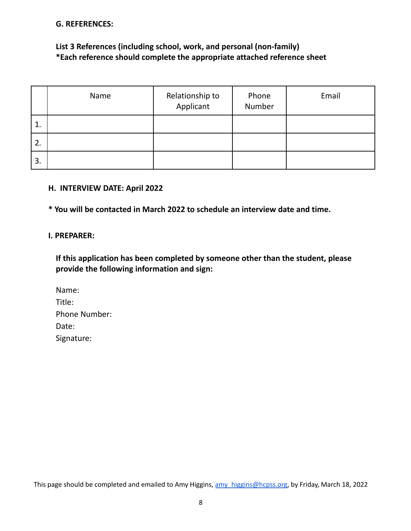#### **G. REFERENCES:**

### **List 3 References (including school, work, and personal (non-family) \*Each reference should complete the appropriate attached reference sheet**

|    | Name | Relationship to<br>Applicant | Phone<br>Number | Email |
|----|------|------------------------------|-----------------|-------|
| 1. |      |                              |                 |       |
| 2. |      |                              |                 |       |
| 3. |      |                              |                 |       |

#### **H. INTERVIEW DATE: April 2022**

**\* You will be contacted in March 2022 to schedule an interview date and time.**

#### **I. PREPARER:**

**If this application has been completed by someone other than the student, please provide the following information and sign:**

| Name:                |
|----------------------|
| Title:               |
| <b>Phone Number:</b> |
| Date:                |
| Signature:           |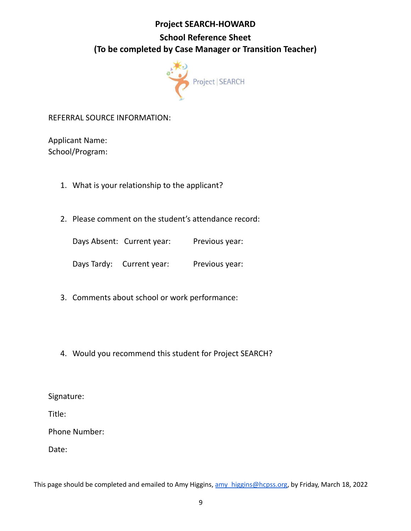### **Project SEARCH-HOWARD**

# **School Reference Sheet (To be completed by Case Manager or Transition Teacher)**



REFERRAL SOURCE INFORMATION:

Applicant Name: School/Program:

- 1. What is your relationship to the applicant?
- 2. Please comment on the student's attendance record:

Days Absent: Current year: Previous year:

Days Tardy: Current year: Previous year:

- 3. Comments about school or work performance:
- 4. Would you recommend this student for Project SEARCH?

Signature:

Title:

Phone Number:

Date: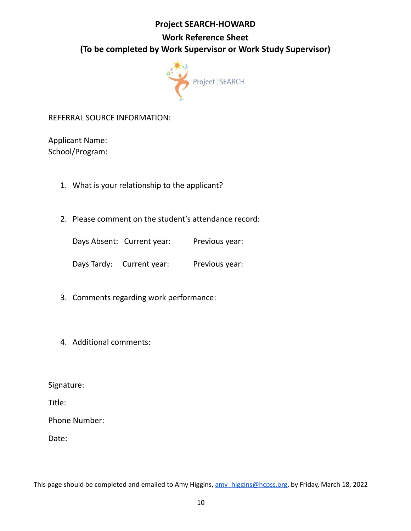### **Project SEARCH-HOWARD**

# **Work Reference Sheet (To be completed by Work Supervisor or Work Study Supervisor)**



### REFERRAL SOURCE INFORMATION:

Applicant Name: School/Program:

- 1. What is your relationship to the applicant?
- 2. Please comment on the student's attendance record:

Days Absent: Current year: Previous year:

Days Tardy: Current year: Previous year:

- 3. Comments regarding work performance:
- 4. Additional comments:

Signature:

Title:

Phone Number:

Date: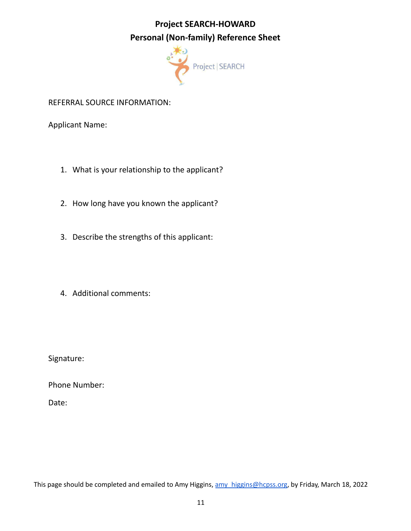# **Project SEARCH-HOWARD Personal (Non-family) Reference Sheet**



### REFERRAL SOURCE INFORMATION:

Applicant Name:

- 1. What is your relationship to the applicant?
- 2. How long have you known the applicant?
- 3. Describe the strengths of this applicant:
- 4. Additional comments:

Signature:

Phone Number:

Date: